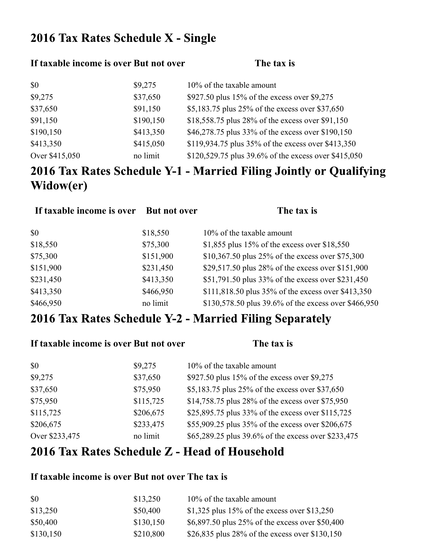## 2016 Tax Rates Schedule X - Single

#### If taxable income is over But not over **The tax** is

| \$0            | \$9,275   | 10% of the taxable amount                            |
|----------------|-----------|------------------------------------------------------|
| \$9,275        | \$37,650  | \$927.50 plus 15% of the excess over \$9,275         |
| \$37,650       | \$91,150  | \$5,183.75 plus 25% of the excess over \$37,650      |
| \$91,150       | \$190,150 | \$18,558.75 plus 28% of the excess over \$91,150     |
| \$190,150      | \$413,350 | \$46,278.75 plus 33% of the excess over \$190,150    |
| \$413,350      | \$415,050 | \$119,934.75 plus 35% of the excess over \$413,350   |
| Over \$415,050 | no limit  | \$120,529.75 plus 39.6% of the excess over \$415,050 |

# 2016 Tax Rates Schedule Y-1 - Married Filing Jointly or Qualifying Widow(er)

| If taxable income is over | <b>But not over</b> | The tax is                                           |
|---------------------------|---------------------|------------------------------------------------------|
| \$0                       | \$18,550            | 10% of the taxable amount                            |
| \$18,550                  | \$75,300            | \$1,855 plus 15% of the excess over \$18,550         |
| \$75,300                  | \$151,900           | \$10,367.50 plus 25% of the excess over \$75,300     |
| \$151,900                 | \$231,450           | \$29,517.50 plus 28% of the excess over \$151,900    |
| \$231,450                 | \$413,350           | \$51,791.50 plus 33% of the excess over \$231,450    |
| \$413,350                 | \$466,950           | \$111,818.50 plus 35% of the excess over \$413,350   |
| \$466,950                 | no limit            | \$130,578.50 plus 39.6% of the excess over \$466,950 |

## 2016 Tax Rates Schedule Y-2 - Married Filing Separately

| If taxable income is over But not over |           | The tax is                                          |
|----------------------------------------|-----------|-----------------------------------------------------|
| \$0                                    | \$9,275   | 10% of the taxable amount                           |
| \$9,275                                | \$37,650  | \$927.50 plus 15% of the excess over \$9,275        |
| \$37,650                               | \$75,950  | \$5,183.75 plus 25% of the excess over \$37,650     |
| \$75,950                               | \$115,725 | \$14,758.75 plus 28% of the excess over \$75,950    |
| \$115,725                              | \$206,675 | \$25,895.75 plus 33% of the excess over \$115,725   |
| \$206,675                              | \$233,475 | \$55,909.25 plus 35% of the excess over \$206,675   |
| Over \$233,475                         | no limit  | \$65,289.25 plus 39.6% of the excess over \$233,475 |

## 2016 Tax Rates Schedule Z - Head of Household

### **If taxable income is over But not over The tax is**

| \$0       | \$13,250  | $10\%$ of the taxable amount                    |
|-----------|-----------|-------------------------------------------------|
| \$13,250  | \$50,400  | \$1,325 plus 15% of the excess over \$13,250    |
| \$50,400  | \$130,150 | \$6,897.50 plus 25% of the excess over \$50,400 |
| \$130,150 | \$210,800 | \$26,835 plus 28% of the excess over \$130,150  |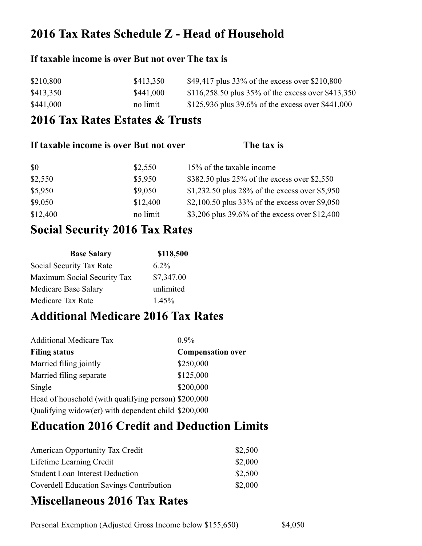## 2016 Tax Rates Schedule Z - Head of Household

### **If taxable income is over But not over The tax is**

| \$210,800 | \$413,350 | \$49,417 plus $33\%$ of the excess over \$210,800  |
|-----------|-----------|----------------------------------------------------|
| \$413,350 | \$441,000 | \$116,258.50 plus 35% of the excess over \$413,350 |
| \$441,000 | no limit  | \$125,936 plus 39.6% of the excess over \$441,000  |

## 2016 Tax Rates Estates & Trusts

| If taxable income is over But not over |          | The tax is                                     |
|----------------------------------------|----------|------------------------------------------------|
| \$0                                    | \$2,550  | 15% of the taxable income                      |
| \$2,550                                | \$5,950  | \$382.50 plus 25% of the excess over \$2,550   |
| \$5,950                                | \$9,050  | \$1,232.50 plus 28% of the excess over \$5,950 |
| \$9,050                                | \$12,400 | \$2,100.50 plus 33% of the excess over \$9,050 |
| \$12,400                               | no limit | \$3,206 plus 39.6% of the excess over \$12,400 |

## **Social Security 2016 Tax Rates**

| <b>Base Salary</b>          | \$118,500  |
|-----------------------------|------------|
| Social Security Tax Rate    | $6.2\%$    |
| Maximum Social Security Tax | \$7,347.00 |
| Medicare Base Salary        | unlimited  |
| Medicare Tax Rate           | 1.45%      |

## **Additional Medicare 2016 Tax Rates**

| <b>Additional Medicare Tax</b>                       | $0.9\%$                  |
|------------------------------------------------------|--------------------------|
| <b>Filing status</b>                                 | <b>Compensation over</b> |
| Married filing jointly                               | \$250,000                |
| Married filing separate                              | \$125,000                |
| Single                                               | \$200,000                |
| Head of household (with qualifying person) \$200,000 |                          |
| Qualifying widow(er) with dependent child \$200,000  |                          |

## **Education 2016 Credit and Deduction Limits**

| <b>American Opportunity Tax Credit</b>          | \$2,500 |
|-------------------------------------------------|---------|
| Lifetime Learning Credit                        | \$2,000 |
| <b>Student Loan Interest Deduction</b>          | \$2,500 |
| <b>Coverdell Education Savings Contribution</b> | \$2,000 |

## **Miscellaneous 2016 Tax Rates**

Personal Exemption (Adjusted Gross Income below \$155,650) \$4,050